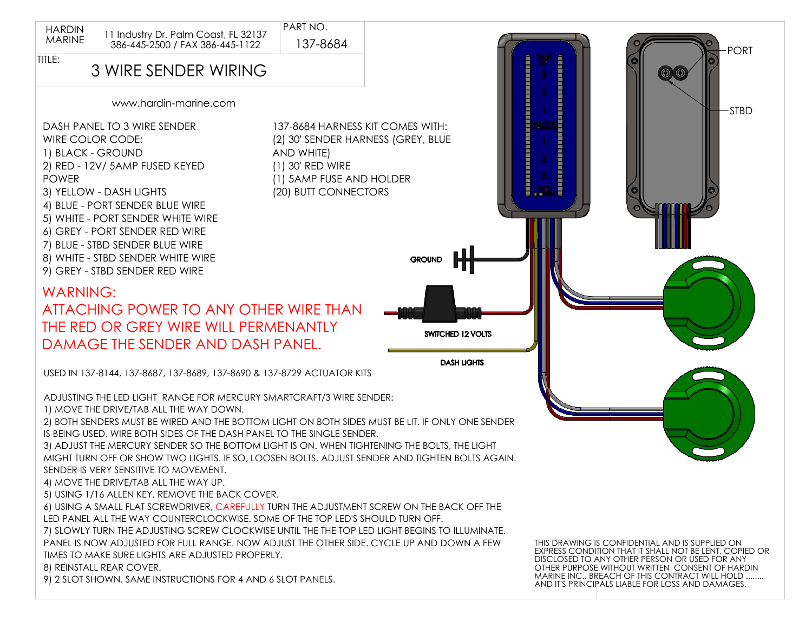

PART NO.



## 3 WIRE SENDER WIRING

www.hardin-marine.com

DASH PANEL TO 3 WIRE SENDER WIRE COLOR CODE: 1) BLACK - GROUND 2) RED - 12V/ 5AMP FUSED KEYED POWER 3) YELLOW - DASH LIGHTS 4) BLUE - PORT SENDER BLUE WIRE 5) WHITE - PORT SENDER WHITE WIRE 6) GREY - PORT SENDER RED WIRE 7) BLUE - STBD SENDER BLUE WIRE 8) WHITE - STBD SENDER WHITE WIRE 9) GREY - STBD SENDER RED WIRE

137-8684 HARNESS KIT COMES WITH: (2) 30' SENDER HARNESS (GREY, BLUE AND WHITE) (1) 30' RED WIRE (1) 5AMP FUSE AND HOLDER (20) BUTT CONNECTORS

WARNING: ATTACHING POWER TO ANY OTHER WIRE THAN THE RED OR GREY WIRE WILL PERMENANTLY DAMAGE THE SENDER AND DASH PANEL.

USED IN 137-8144, 137-8687, 137-8689, 137-8690 & 137-8729 ACTUATOR KITS

ADJUSTING THE LED LIGHT RANGE FOR MERCURY SMARTCRAFT/3 WIRE SENDER:

1) MOVE THE DRIVE/TAB ALL THE WAY DOWN.

2) BOTH SENDERS MUST BE WIRED AND THE BOTTOM LIGHT ON BOTH SIDES MUST BE LIT. IF ONLY ONE SENDER IS BEING USED, WIRE BOTH SIDES OF THE DASH PANEL TO THE SINGLE SENDER.

3) ADJUST THE MERCURY SENDER SO THE BOTTOM LIGHT IS ON. WHEN TIGHTENING THE BOLTS, THE LIGHT MIGHT TURN OFF OR SHOW TWO LIGHTS. IF SO, LOOSEN BOLTS, ADJUST SENDER AND TIGHTEN BOLTS AGAIN. SENDER IS VERY SENSITIVE TO MOVEMENT.

4) MOVE THE DRIVE/TAB ALL THE WAY UP.

5) USING 1/16 ALLEN KEY, REMOVE THE BACK COVER.

6) USING A SMALL FLAT SCREWDRIVER, CAREFULLY TURN THE ADJUSTMENT SCREW ON THE BACK OFF THE LED PANEL ALL THE WAY COUNTERCLOCKWISE. SOME OF THE TOP LED'S SHOULD TURN OFF.

7) SLOWLY TURN THE ADJUSTING SCREW CLOCKWISE UNTIL THE THE TOP LED LIGHT BEGINS TO ILLUMINATE. PANEL IS NOW ADJUSTED FOR FULL RANGE. NOW ADJUST THE OTHER SIDE. CYCLE UP AND DOWN A FEW TIMES TO MAKE SURE LIGHTS ARE ADJUSTED PROPERLY.

8) REINSTALL REAR COVER.

9) 2 SLOT SHOWN. SAME INSTRUCTIONS FOR 4 AND 6 SLOT PANELS.

THIS DRAWING IS CONFIDENTIAL AND IS SUPPLIED ON EXPRESS CONDITION THAT IT SHALL NOT BE LENT, COPIED OR DISCLOSED TO ANY OTHER PERSON OR USED FOR ANY OTHER PURPOSE WITHOUT WRITTEN CONSENT OF HARDIN MARINE INC.. BREACH OF THIS CONTRACT WILL HOLD ........ AND IT'S PRINCIPALS LIABLE FOR LOSS AND DAMAGES.

PORT

STBD



**DASH LIGHTS**